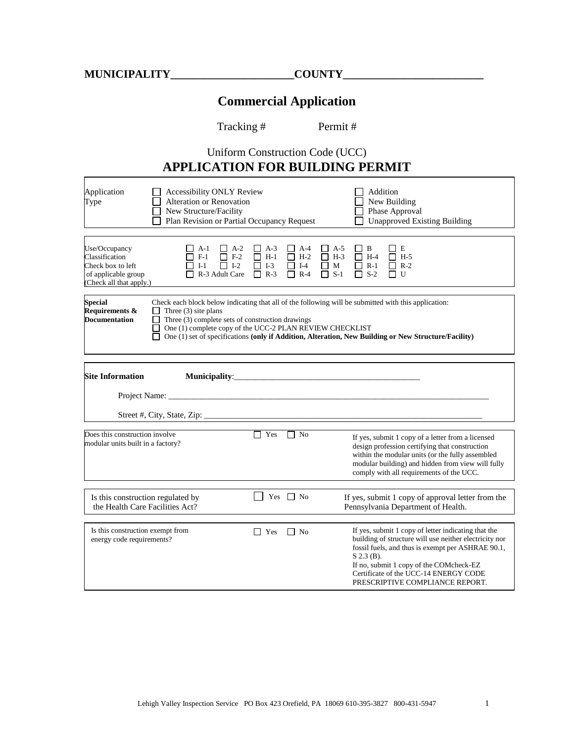## **Commercial Application**

Tracking # Permit #

## Uniform Construction Code (UCC) **APPLICATION FOR BUILDING PERMIT**

| Application<br>Type                                                                                                                                                                                                                                                                                                                                                                                                            | <b>Accessibility ONLY Review</b><br>Alteration or Renovation<br>New Structure/Facility<br>Plan Revision or Partial Occupancy Request |                                                      |                                                      |                                                     | Addition                                 | New Building<br>Phase Approval<br><b>Unapproved Existing Building</b>                                                                                                                                                                                                                     |  |
|--------------------------------------------------------------------------------------------------------------------------------------------------------------------------------------------------------------------------------------------------------------------------------------------------------------------------------------------------------------------------------------------------------------------------------|--------------------------------------------------------------------------------------------------------------------------------------|------------------------------------------------------|------------------------------------------------------|-----------------------------------------------------|------------------------------------------|-------------------------------------------------------------------------------------------------------------------------------------------------------------------------------------------------------------------------------------------------------------------------------------------|--|
| Use/Occupancy<br>Classification<br>Check box to left<br>of applicable group<br>(Check all that apply.)                                                                                                                                                                                                                                                                                                                         | A-1<br>$\Box$ A-2<br>$\Box$ F-1<br>$\Box$ F-2<br>$I-1$<br>$\Box$ I-2<br>R-3 Adult Care                                               | $\Box$ A-3<br>$\Box$ H-1<br>$\Box$ I-3<br>$\Box$ R-3 | $\Box$ A-4<br>$\Box$ H-2<br>$\Box$ I-4<br>$R-4$<br>П | □<br>A-5<br>$\Box$ H-3<br>$\Box$<br>M<br>$S-1$<br>П | □ B<br>$\Box$ H-4<br>П<br>$R-1$<br>$S-2$ | ΠΕ<br>$\Box$ H-5<br>$\Box$ R-2<br>U                                                                                                                                                                                                                                                       |  |
| <b>Special</b><br>Check each block below indicating that all of the following will be submitted with this application:<br>Requirements &<br>Three $(3)$ site plans<br><b>Documentation</b><br>Three (3) complete sets of construction drawings<br>П<br>One (1) complete copy of the UCC-2 PLAN REVIEW CHECKLIST<br>One (1) set of specifications (only if Addition, Alteration, New Building or New Structure/Facility)<br>l 1 |                                                                                                                                      |                                                      |                                                      |                                                     |                                          |                                                                                                                                                                                                                                                                                           |  |
| <b>Site Information</b>                                                                                                                                                                                                                                                                                                                                                                                                        |                                                                                                                                      |                                                      |                                                      |                                                     |                                          |                                                                                                                                                                                                                                                                                           |  |
| Does this construction involve<br>modular units built in a factory?                                                                                                                                                                                                                                                                                                                                                            |                                                                                                                                      | $\Box$ Yes                                           | l I No                                               |                                                     |                                          | If yes, submit 1 copy of a letter from a licensed<br>design profession certifying that construction<br>within the modular units (or the fully assembled<br>modular building) and hidden from view will fully<br>comply with all requirements of the UCC.                                  |  |
| Is this construction regulated by<br>the Health Care Facilities Act?                                                                                                                                                                                                                                                                                                                                                           |                                                                                                                                      | Yes                                                  | $\Box$ No                                            |                                                     |                                          | If yes, submit 1 copy of approval letter from the<br>Pennsylvania Department of Health.                                                                                                                                                                                                   |  |
| Is this construction exempt from<br>energy code requirements?                                                                                                                                                                                                                                                                                                                                                                  |                                                                                                                                      | $\Box$ Yes                                           | $\Box$ No                                            |                                                     | $S$ 2.3 (B).                             | If yes, submit 1 copy of letter indicating that the<br>building of structure will use neither electricity nor<br>fossil fuels, and thus is exempt per ASHRAE 90.1,<br>If no, submit 1 copy of the COMcheck-EZ<br>Certificate of the UCC-14 ENERGY CODE<br>PRESCRIPTIVE COMPLIANCE REPORT. |  |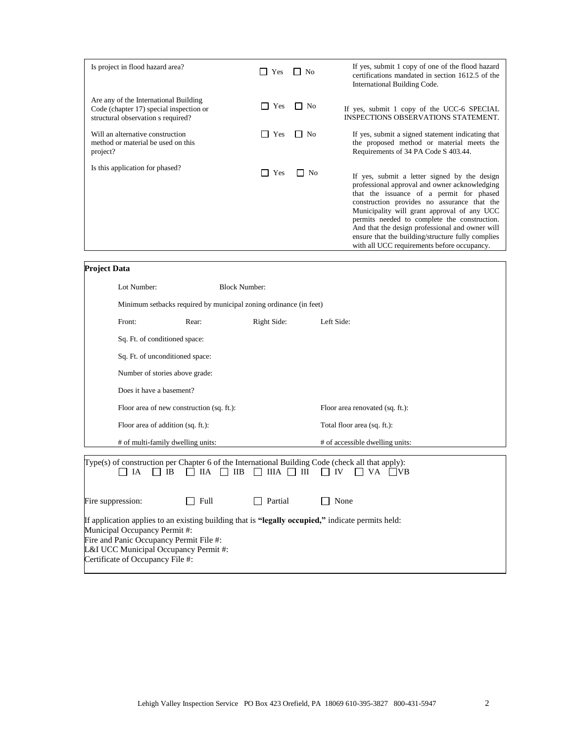| Is project in flood hazard area?                                                                                       | Yes                 | No<br>$\mathsf{L}$ | If yes, submit 1 copy of one of the flood hazard<br>certifications mandated in section 1612.5 of the<br>International Building Code.                                                                                                                                                                                                                                                                                                           |
|------------------------------------------------------------------------------------------------------------------------|---------------------|--------------------|------------------------------------------------------------------------------------------------------------------------------------------------------------------------------------------------------------------------------------------------------------------------------------------------------------------------------------------------------------------------------------------------------------------------------------------------|
| Are any of the International Building<br>Code (chapter 17) special inspection or<br>structural observation s required? | Yes<br>$\mathbf{I}$ | No<br>$\mathsf{L}$ | If yes, submit 1 copy of the UCC-6 SPECIAL<br><b>INSPECTIONS OBSERVATIONS STATEMENT.</b>                                                                                                                                                                                                                                                                                                                                                       |
| Will an alternative construction<br>method or material be used on this<br>project?                                     | Yes<br>$\mathsf{L}$ | No<br>$\mathbf{1}$ | If yes, submit a signed statement indicating that<br>the proposed method or material meets the<br>Requirements of 34 PA Code S 403.44.                                                                                                                                                                                                                                                                                                         |
| Is this application for phased?                                                                                        | Yes<br>$\mathsf{L}$ | l I No             | If yes, submit a letter signed by the design<br>professional approval and owner acknowledging<br>that the issuance of a permit for phased<br>construction provides no assurance that the<br>Municipality will grant approval of any UCC<br>permits needed to complete the construction.<br>And that the design professional and owner will<br>ensure that the building/structure fully complies<br>with all UCC requirements before occupancy. |

| <b>Project Data</b> |  |  |
|---------------------|--|--|
|                     |  |  |

| Lot Number:                                                       | <b>Block Number:</b> |                                              |                                                                                                                                        |  |  |
|-------------------------------------------------------------------|----------------------|----------------------------------------------|----------------------------------------------------------------------------------------------------------------------------------------|--|--|
| Minimum setbacks required by municipal zoning ordinance (in feet) |                      |                                              |                                                                                                                                        |  |  |
| Front:                                                            | Rear:                | Right Side:                                  | Left Side:                                                                                                                             |  |  |
| Sq. Ft. of conditioned space:                                     |                      |                                              |                                                                                                                                        |  |  |
| Sq. Ft. of unconditioned space:                                   |                      |                                              |                                                                                                                                        |  |  |
| Number of stories above grade:                                    |                      |                                              |                                                                                                                                        |  |  |
| Does it have a basement?                                          |                      |                                              |                                                                                                                                        |  |  |
| Floor area of new construction (sq. ft.):                         |                      |                                              | Floor area renovated (sq. ft.):                                                                                                        |  |  |
| Floor area of addition (sq. ft.):                                 |                      |                                              | Total floor area (sq. ft.):                                                                                                            |  |  |
| # of multi-family dwelling units:                                 |                      |                                              | # of accessible dwelling units:                                                                                                        |  |  |
| IB<br>IA<br>$\mathbf{1}$<br>$\mathsf{I}$                          |                      | $\Box$ IIA $\Box$ IIB $\Box$ IIIA $\Box$ III | Type(s) of construction per Chapter 6 of the International Building Code (check all that apply):<br>$\Box$ IV<br>VA VB<br>$\mathbf{1}$ |  |  |
| Fire suppression:                                                 | Full                 | Partial                                      | None                                                                                                                                   |  |  |
|                                                                   |                      |                                              | If application applies to an existing building that is "legally occupied," indicate permits held:                                      |  |  |

Municipal Occupancy Permit #:

Fire and Panic Occupancy Permit File #:

L&I UCC Municipal Occupancy Permit #:

Certificate of Occupancy File #: